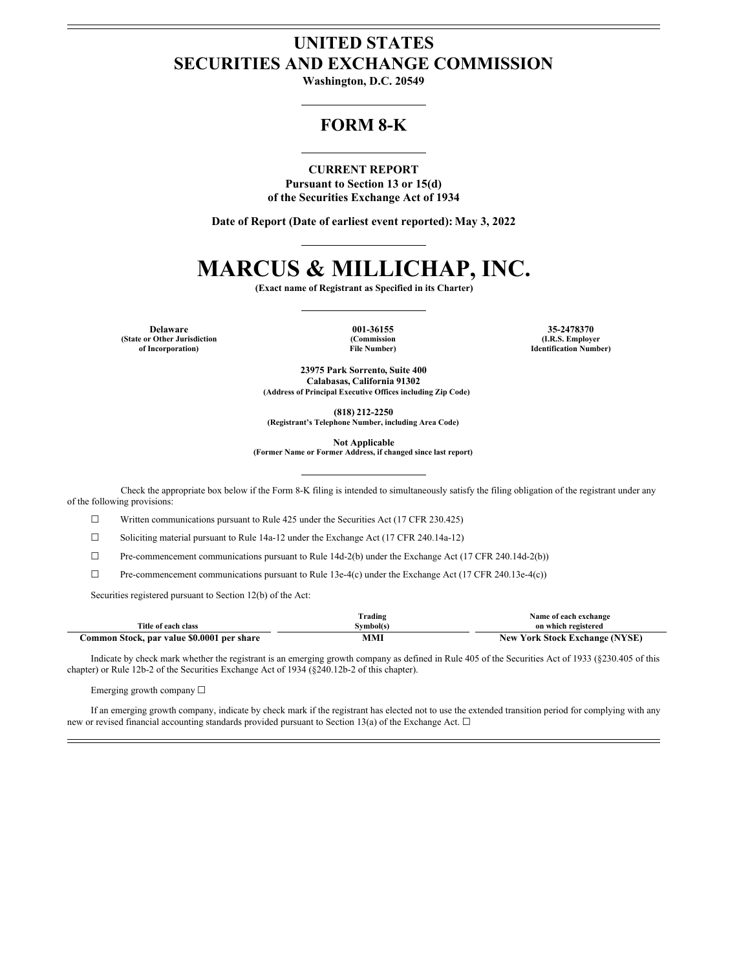## **UNITED STATES SECURITIES AND EXCHANGE COMMISSION**

**Washington, D.C. 20549**

### **FORM 8-K**

**CURRENT REPORT Pursuant to Section 13 or 15(d) of the Securities Exchange Act of 1934**

**Date of Report (Date of earliest event reported): May 3, 2022**

# **MARCUS & MILLICHAP, INC.**

**(Exact name of Registrant as Specified in its Charter)**

**(State or Other Jurisdiction of Incorporation)**

**(Commission File Number)**

**Delaware 001-36155 35-2478370 (I.R.S. Employer Identification Number)**

> **23975 Park Sorrento, Suite 400 Calabasas, California 91302 (Address of Principal Executive Offices including Zip Code)**

> > **(818) 212-2250**

**(Registrant's Telephone Number, including Area Code)**

**Not Applicable**

**(Former Name or Former Address, if changed since last report)**

Check the appropriate box below if the Form 8-K filing is intended to simultaneously satisfy the filing obligation of the registrant under any of the following provisions:

☐ Written communications pursuant to Rule 425 under the Securities Act (17 CFR 230.425)

☐ Soliciting material pursuant to Rule 14a-12 under the Exchange Act (17 CFR 240.14a-12)

 $\Box$  Pre-commencement communications pursuant to Rule 14d-2(b) under the Exchange Act (17 CFR 240.14d-2(b))

☐ Pre-commencement communications pursuant to Rule 13e-4(c) under the Exchange Act (17 CFR 240.13e-4(c))

Securities registered pursuant to Section 12(b) of the Act:

|                                            | Trading   | Name of each exchange                 |
|--------------------------------------------|-----------|---------------------------------------|
| Title of each class                        | Symbol(s) | on which registered                   |
| Common Stock, par value \$0.0001 per share | MMI       | <b>New York Stock Exchange (NYSE)</b> |

Indicate by check mark whether the registrant is an emerging growth company as defined in Rule 405 of the Securities Act of 1933 (§230.405 of this chapter) or Rule 12b-2 of the Securities Exchange Act of 1934 (§240.12b-2 of this chapter).

Emerging growth company ☐

If an emerging growth company, indicate by check mark if the registrant has elected not to use the extended transition period for complying with any new or revised financial accounting standards provided pursuant to Section 13(a) of the Exchange Act. □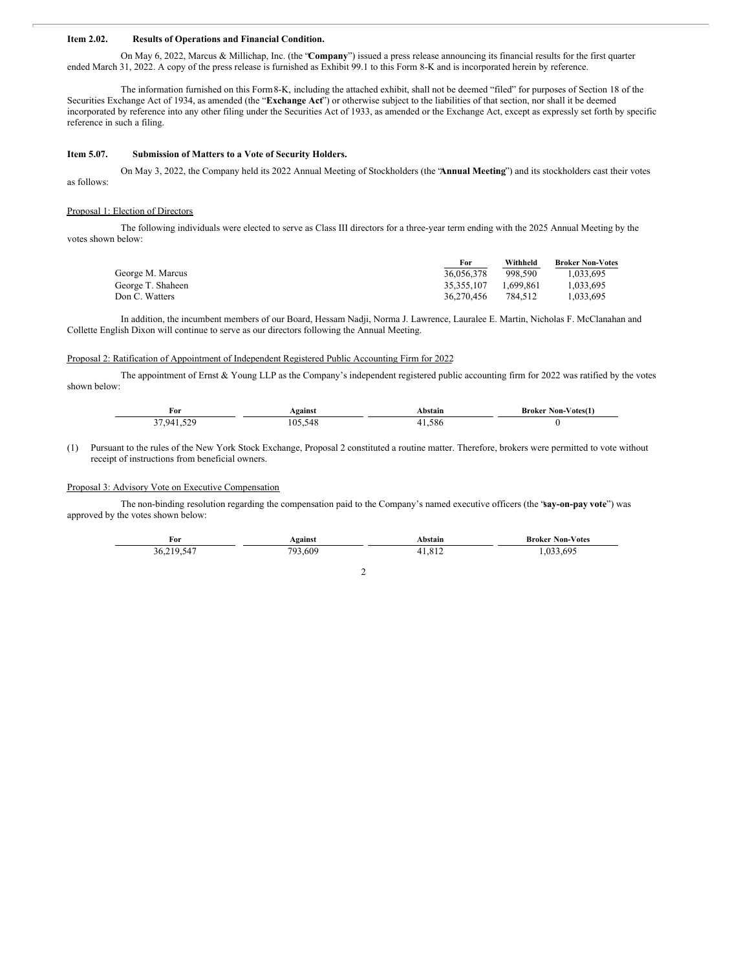#### **Item 2.02. Results of Operations and Financial Condition.**

On May 6, 2022, Marcus & Millichap, Inc. (the "**Company**") issued a press release announcing its financial results for the first quarter ended March 31, 2022. A copy of the press release is furnished as Exhibit 99.1 to this Form 8-K and is incorporated herein by reference.

The information furnished on this Form8-K, including the attached exhibit, shall not be deemed "filed" for purposes of Section 18 of the Securities Exchange Act of 1934, as amended (the "**Exchange Act**") or otherwise subject to the liabilities of that section, nor shall it be deemed incorporated by reference into any other filing under the Securities Act of 1933, as amended or the Exchange Act, except as expressly set forth by specific reference in such a filing.

#### **Item 5.07. Submission of Matters to a Vote of Security Holders.**

On May 3, 2022, the Company held its 2022 Annual Meeting of Stockholders (the "**Annual Meeting**") and its stockholders cast their votes as follows:

#### Proposal 1: Election of Directors

The following individuals were elected to serve as Class III directors for a three-year term ending with the 2025 Annual Meeting by the votes shown below:

|                   | <b>For</b> | Withheld  | <b>Broker Non-Votes</b> |
|-------------------|------------|-----------|-------------------------|
| George M. Marcus  | 36,056,378 | 998.590   | 1.033.695               |
| George T. Shaheen | 35.355.107 | 1.699.861 | 1.033.695               |
| Don C. Watters    | 36.270.456 | 784.512   | 1.033.695               |

In addition, the incumbent members of our Board, Hessam Nadji, Norma J. Lawrence, Lauralee E. Martin, Nicholas F. McClanahan and Collette English Dixon will continue to serve as our directors following the Annual Meeting.

#### Proposal 2: Ratification of Appointment of Independent Registered Public Accounting Firm for 2022

The appointment of Ernst & Young LLP as the Company's independent registered public accounting firm for 2022 was ratified by the votes shown below:

| For                    | <b>gainst</b>          | ыш | ∕ ∩tesí<br>Non-<br>Kroker<br>the contract of the contract of |
|------------------------|------------------------|----|--------------------------------------------------------------|
| 570<br>. .<br>$\Omega$ | . በ'<br>$\overline{ }$ |    |                                                              |

(1) Pursuant to the rules of the New York Stock Exchange, Proposal 2 constituted a routine matter. Therefore, brokers were permitted to vote without receipt of instructions from beneficial owners.

#### Proposal 3: Advisory Vote on Executive Compensation

The non-binding resolution regarding the compensation paid to the Company's named executive officers (the "**say-on-pay vote**") was approved by the votes shown below:

| For              | Against    | <b>.bstain</b>                | <b>Broker Non-Votes</b> |
|------------------|------------|-------------------------------|-------------------------|
| 1 U<br>ih.<br>54 | .609<br>∼∩ | 01 <sup>o</sup><br>. <u>.</u> | 695                     |

2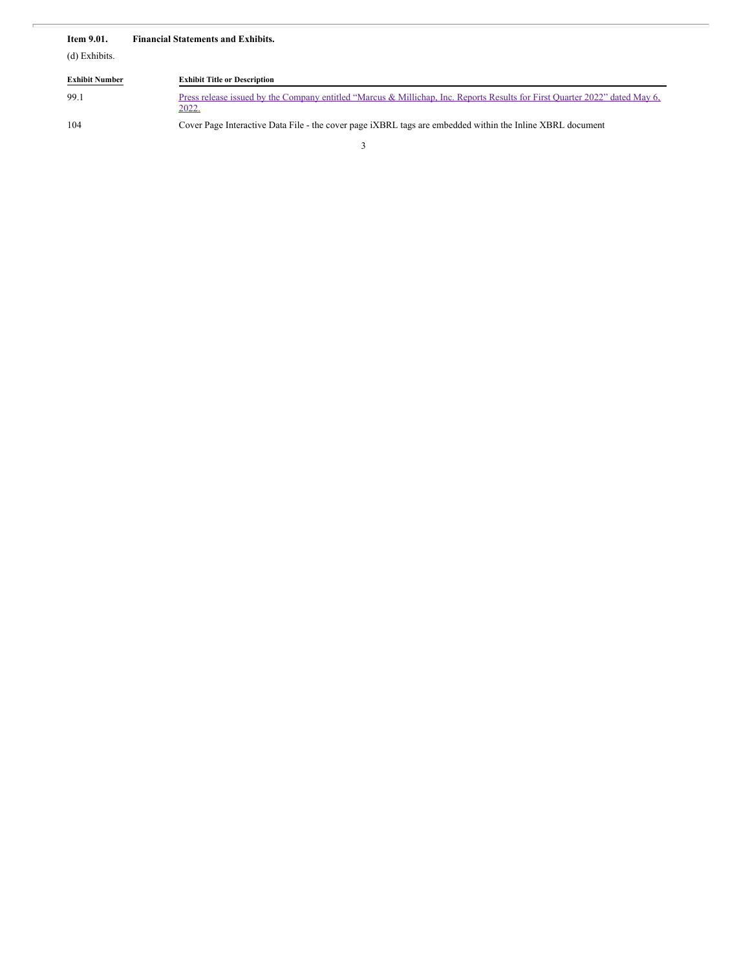| <b>Item 9.01.</b>     | <b>Financial Statements and Exhibits.</b>                                                                                            |
|-----------------------|--------------------------------------------------------------------------------------------------------------------------------------|
| (d) Exhibits.         |                                                                                                                                      |
| <b>Exhibit Number</b> | <b>Exhibit Title or Description</b>                                                                                                  |
| 99.1                  | Press release issued by the Company entitled "Marcus & Millichap, Inc. Reports Results for First Quarter 2022" dated May 6,<br>2022. |
| 104                   | Cover Page Interactive Data File - the cover page iXBRL tags are embedded within the Inline XBRL document                            |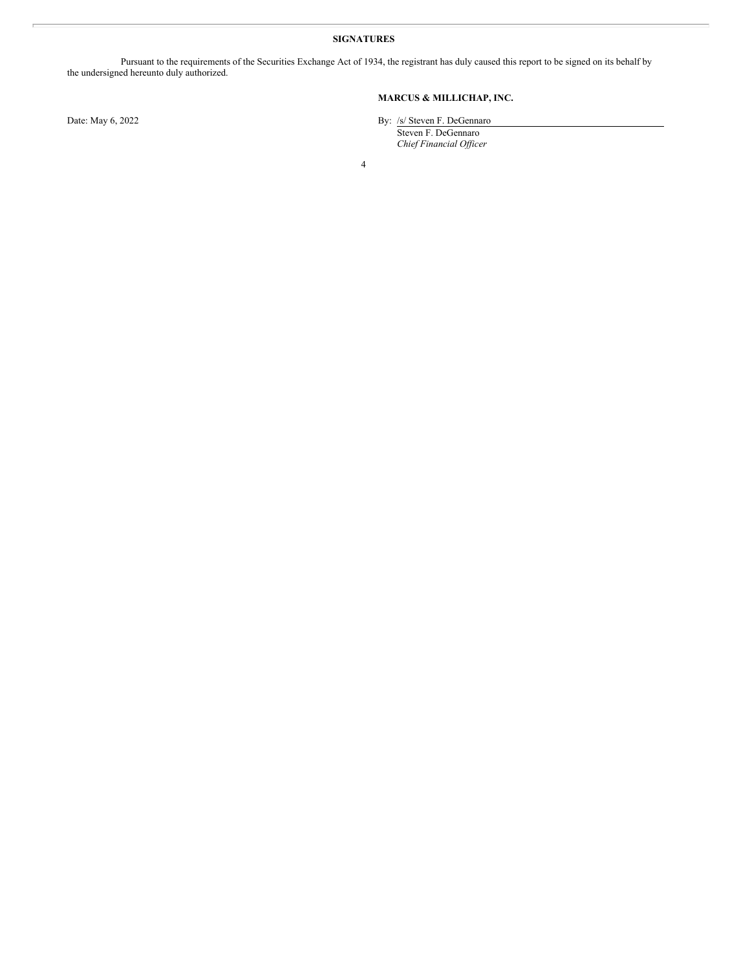#### **SIGNATURES**

Pursuant to the requirements of the Securities Exchange Act of 1934, the registrant has duly caused this report to be signed on its behalf by the undersigned hereunto duly authorized.

#### **MARCUS & MILLICHAP, INC.**

Date: May 6, 2022 By: /s/ Steven F. DeGennaro

Steven F. DeGennaro *Chief Financial Of icer*

4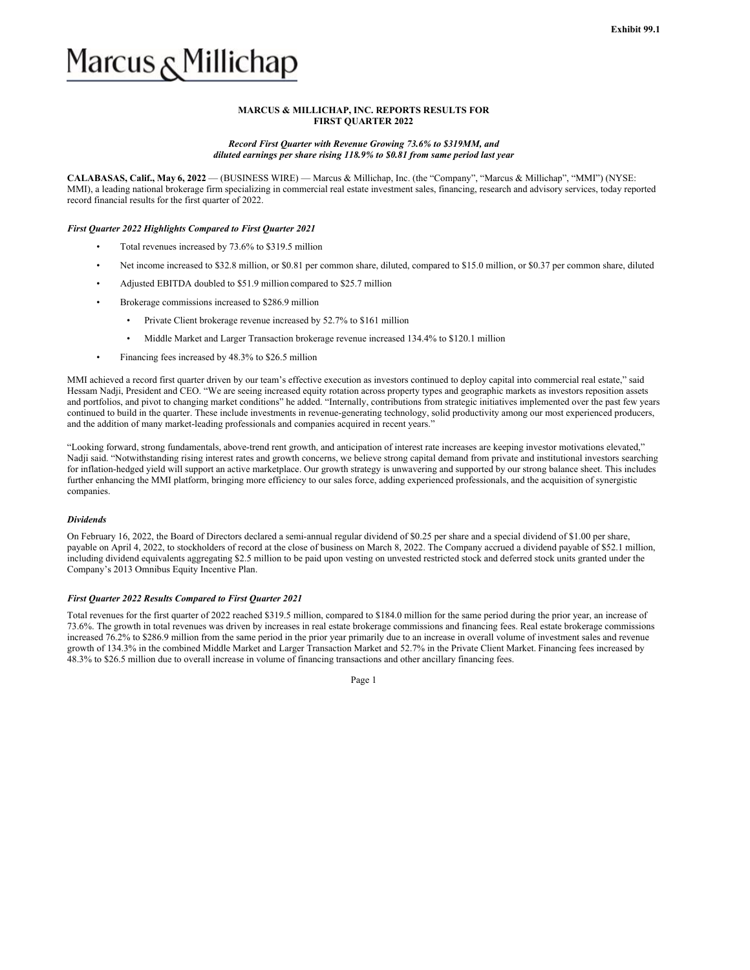# Marcus و Millichap

#### **MARCUS & MILLICHAP, INC. REPORTS RESULTS FOR FIRST QUARTER 2022**

#### *Record First Quarter with Revenue Growing 73.6% to \$319MM, and diluted earnings per share rising 118.9% to \$0.81 from same period last year*

**CALABASAS, Calif., May 6, 2022** — (BUSINESS WIRE) — Marcus & Millichap, Inc. (the "Company", "Marcus & Millichap", "MMI") (NYSE: MMI), a leading national brokerage firm specializing in commercial real estate investment sales, financing, research and advisory services, today reported record financial results for the first quarter of 2022.

#### *First Quarter 2022 Highlights Compared to First Quarter 2021*

- Total revenues increased by 73.6% to \$319.5 million
- Net income increased to \$32.8 million, or \$0.81 per common share, diluted, compared to \$15.0 million, or \$0.37 per common share, diluted
- Adjusted EBITDA doubled to \$51.9 million compared to \$25.7 million
- Brokerage commissions increased to \$286.9 million
	- Private Client brokerage revenue increased by 52.7% to \$161 million
	- Middle Market and Larger Transaction brokerage revenue increased 134.4% to \$120.1 million
- Financing fees increased by 48.3% to \$26.5 million

MMI achieved a record first quarter driven by our team's effective execution as investors continued to deploy capital into commercial real estate," said Hessam Nadji, President and CEO. "We are seeing increased equity rotation across property types and geographic markets as investors reposition assets and portfolios, and pivot to changing market conditions" he added. "Internally, contributions from strategic initiatives implemented over the past few years continued to build in the quarter. These include investments in revenue-generating technology, solid productivity among our most experienced producers, and the addition of many market-leading professionals and companies acquired in recent years."

"Looking forward, strong fundamentals, above-trend rent growth, and anticipation of interest rate increases are keeping investor motivations elevated," Nadji said. "Notwithstanding rising interest rates and growth concerns, we believe strong capital demand from private and institutional investors searching for inflation-hedged yield will support an active marketplace. Our growth strategy is unwavering and supported by our strong balance sheet. This includes further enhancing the MMI platform, bringing more efficiency to our sales force, adding experienced professionals, and the acquisition of synergistic companies.

#### *Dividends*

On February 16, 2022, the Board of Directors declared a semi-annual regular dividend of \$0.25 per share and a special dividend of \$1.00 per share, payable on April 4, 2022, to stockholders of record at the close of business on March 8, 2022. The Company accrued a dividend payable of \$52.1 million, including dividend equivalents aggregating \$2.5 million to be paid upon vesting on unvested restricted stock and deferred stock units granted under the Company's 2013 Omnibus Equity Incentive Plan.

#### *First Quarter 2022 Results Compared to First Quarter 2021*

Total revenues for the first quarter of 2022 reached \$319.5 million, compared to \$184.0 million for the same period during the prior year, an increase of 73.6%. The growth in total revenues was driven by increases in real estate brokerage commissions and financing fees. Real estate brokerage commissions increased 76.2% to \$286.9 million from the same period in the prior year primarily due to an increase in overall volume of investment sales and revenue growth of 134.3% in the combined Middle Market and Larger Transaction Market and 52.7% in the Private Client Market. Financing fees increased by 48.3% to \$26.5 million due to overall increase in volume of financing transactions and other ancillary financing fees.

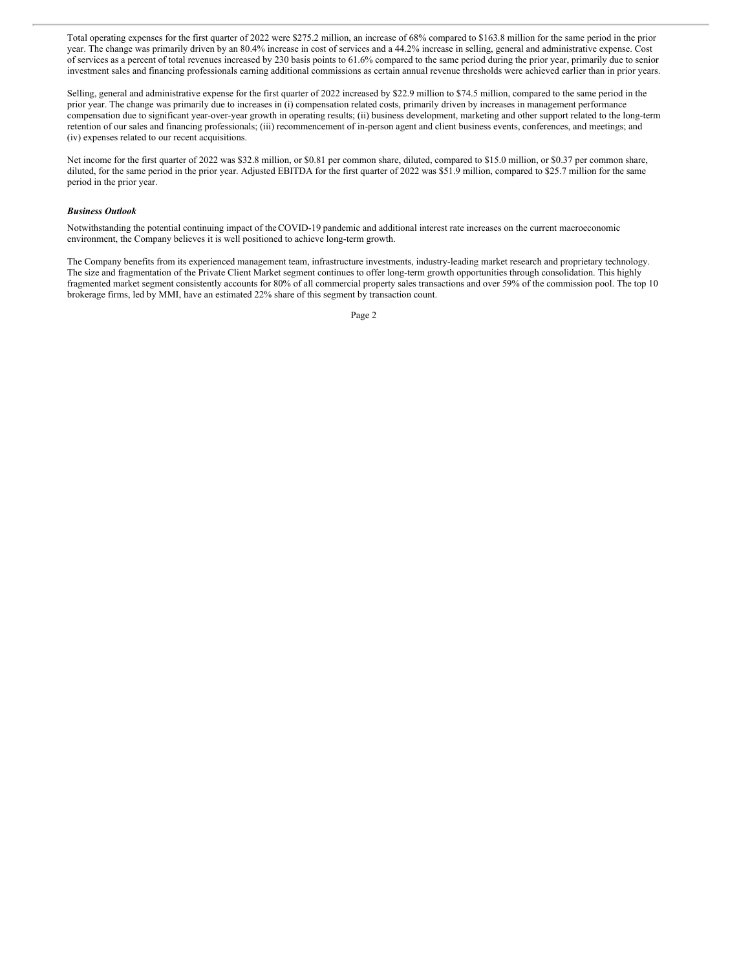Total operating expenses for the first quarter of 2022 were \$275.2 million, an increase of 68% compared to \$163.8 million for the same period in the prior year. The change was primarily driven by an 80.4% increase in cost of services and a 44.2% increase in selling, general and administrative expense. Cost of services as a percent of total revenues increased by 230 basis points to 61.6% compared to the same period during the prior year, primarily due to senior investment sales and financing professionals earning additional commissions as certain annual revenue thresholds were achieved earlier than in prior years.

Selling, general and administrative expense for the first quarter of 2022 increased by \$22.9 million to \$74.5 million, compared to the same period in the prior year. The change was primarily due to increases in (i) compensation related costs, primarily driven by increases in management performance compensation due to significant year-over-year growth in operating results; (ii) business development, marketing and other support related to the long-term retention of our sales and financing professionals; (iii) recommencement of in-person agent and client business events, conferences, and meetings; and (iv) expenses related to our recent acquisitions.

Net income for the first quarter of 2022 was \$32.8 million, or \$0.81 per common share, diluted, compared to \$15.0 million, or \$0.37 per common share, diluted, for the same period in the prior year. Adjusted EBITDA for the first quarter of 2022 was \$51.9 million, compared to \$25.7 million for the same period in the prior year.

#### *Business Outlook*

Notwithstanding the potential continuing impact of theCOVID-19 pandemic and additional interest rate increases on the current macroeconomic environment, the Company believes it is well positioned to achieve long-term growth.

The Company benefits from its experienced management team, infrastructure investments, industry-leading market research and proprietary technology. The size and fragmentation of the Private Client Market segment continues to offer long-term growth opportunities through consolidation. This highly fragmented market segment consistently accounts for 80% of all commercial property sales transactions and over 59% of the commission pool. The top 10 brokerage firms, led by MMI, have an estimated 22% share of this segment by transaction count.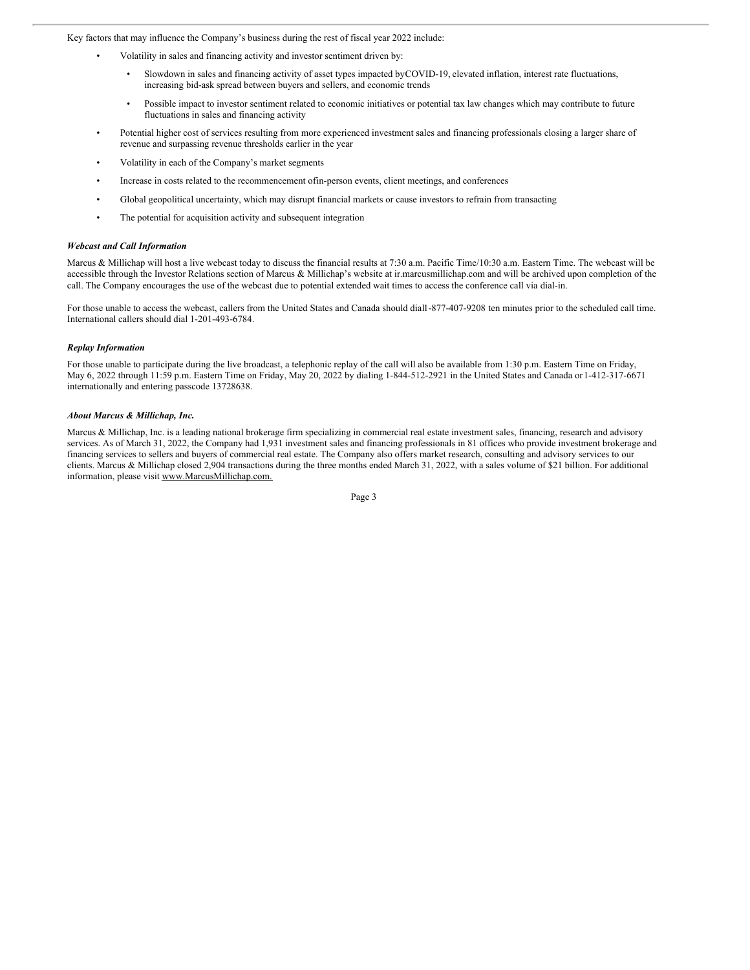Key factors that may influence the Company's business during the rest of fiscal year 2022 include:

- Volatility in sales and financing activity and investor sentiment driven by:
	- Slowdown in sales and financing activity of asset types impacted byCOVID-19, elevated inflation, interest rate fluctuations, increasing bid-ask spread between buyers and sellers, and economic trends
	- Possible impact to investor sentiment related to economic initiatives or potential tax law changes which may contribute to future fluctuations in sales and financing activity
- Potential higher cost of services resulting from more experienced investment sales and financing professionals closing a larger share of revenue and surpassing revenue thresholds earlier in the year
- Volatility in each of the Company's market segments
- Increase in costs related to the recommencement ofin-person events, client meetings, and conferences
- Global geopolitical uncertainty, which may disrupt financial markets or cause investors to refrain from transacting
- The potential for acquisition activity and subsequent integration

#### *Webcast and Call Information*

Marcus & Millichap will host a live webcast today to discuss the financial results at 7:30 a.m. Pacific Time/10:30 a.m. Eastern Time. The webcast will be accessible through the Investor Relations section of Marcus & Millichap's website at ir.marcusmillichap.com and will be archived upon completion of the call. The Company encourages the use of the webcast due to potential extended wait times to access the conference call via dial-in.

For those unable to access the webcast, callers from the United States and Canada should dial1-877-407-9208 ten minutes prior to the scheduled call time. International callers should dial 1-201-493-6784.

#### *Replay Information*

For those unable to participate during the live broadcast, a telephonic replay of the call will also be available from 1:30 p.m. Eastern Time on Friday, May 6, 2022 through 11:59 p.m. Eastern Time on Friday, May 20, 2022 by dialing 1-844-512-2921 in the United States and Canada or1-412-317-6671 internationally and entering passcode 13728638.

#### *About Marcus & Millichap, Inc.*

Marcus & Millichap, Inc. is a leading national brokerage firm specializing in commercial real estate investment sales, financing, research and advisory services. As of March 31, 2022, the Company had 1,931 investment sales and financing professionals in 81 offices who provide investment brokerage and financing services to sellers and buyers of commercial real estate. The Company also offers market research, consulting and advisory services to our clients. Marcus & Millichap closed 2,904 transactions during the three months ended March 31, 2022, with a sales volume of \$21 billion. For additional information, please visit www.MarcusMillichap.com.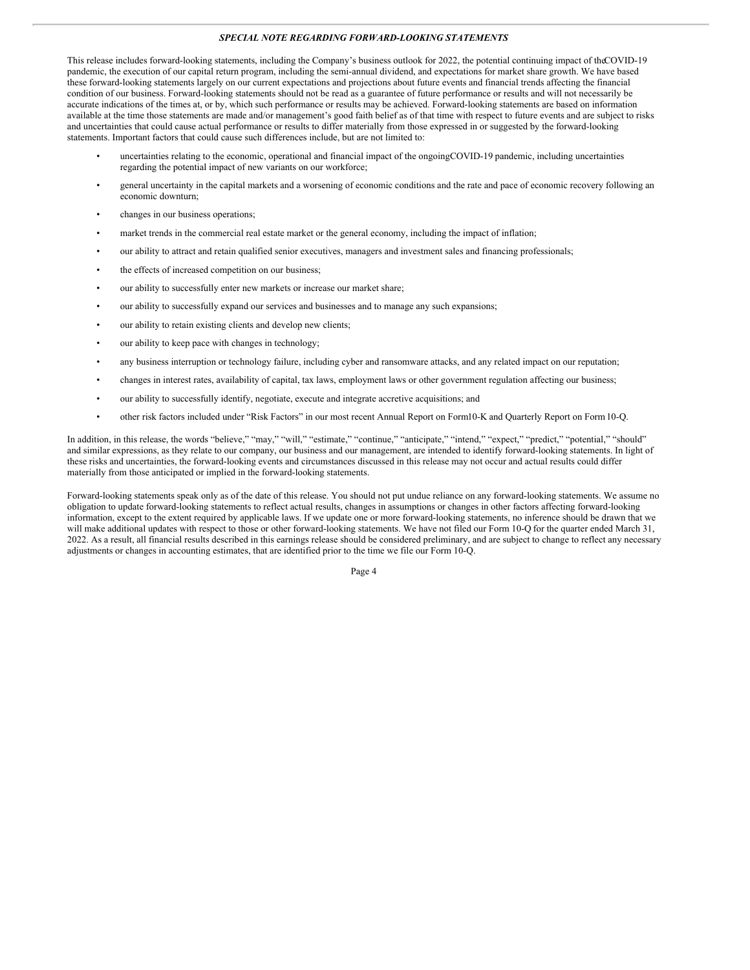#### *SPECIAL NOTE REGARDING FORWARD-LOOKING STATEMENTS*

This release includes forward-looking statements, including the Company's business outlook for 2022, the potential continuing impact of theCOVID-19 pandemic, the execution of our capital return program, including the semi-annual dividend, and expectations for market share growth. We have based these forward-looking statements largely on our current expectations and projections about future events and financial trends affecting the financial condition of our business. Forward-looking statements should not be read as a guarantee of future performance or results and will not necessarily be accurate indications of the times at, or by, which such performance or results may be achieved. Forward-looking statements are based on information available at the time those statements are made and/or management's good faith belief as of that time with respect to future events and are subject to risks and uncertainties that could cause actual performance or results to differ materially from those expressed in or suggested by the forward-looking statements. Important factors that could cause such differences include, but are not limited to:

- uncertainties relating to the economic, operational and financial impact of the ongoingCOVID-19 pandemic, including uncertainties regarding the potential impact of new variants on our workforce;
- general uncertainty in the capital markets and a worsening of economic conditions and the rate and pace of economic recovery following an economic downturn;
- changes in our business operations;
- market trends in the commercial real estate market or the general economy, including the impact of inflation;
- our ability to attract and retain qualified senior executives, managers and investment sales and financing professionals;
- the effects of increased competition on our business;
- our ability to successfully enter new markets or increase our market share;
- our ability to successfully expand our services and businesses and to manage any such expansions;
- our ability to retain existing clients and develop new clients;
- our ability to keep pace with changes in technology;
- any business interruption or technology failure, including cyber and ransomware attacks, and any related impact on our reputation;
- changes in interest rates, availability of capital, tax laws, employment laws or other government regulation affecting our business;
- our ability to successfully identify, negotiate, execute and integrate accretive acquisitions; and
- other risk factors included under "Risk Factors" in our most recent Annual Report on Form10-K and Quarterly Report on Form10-Q.

In addition, in this release, the words "believe," "may," "will," "estimate," "continue," "anticipate," "intend," "expect," "predict," "potential," "should" and similar expressions, as they relate to our company, our business and our management, are intended to identify forward-looking statements. In light of these risks and uncertainties, the forward-looking events and circumstances discussed in this release may not occur and actual results could differ materially from those anticipated or implied in the forward-looking statements.

Forward-looking statements speak only as of the date of this release. You should not put undue reliance on any forward-looking statements. We assume no obligation to update forward-looking statements to reflect actual results, changes in assumptions or changes in other factors affecting forward-looking information, except to the extent required by applicable laws. If we update one or more forward-looking statements, no inference should be drawn that we will make additional updates with respect to those or other forward-looking statements. We have not filed our Form 10-Q for the quarter ended March 31, 2022. As a result, all financial results described in this earnings release should be considered preliminary, and are subject to change to reflect any necessary adjustments or changes in accounting estimates, that are identified prior to the time we file our Form 10-Q.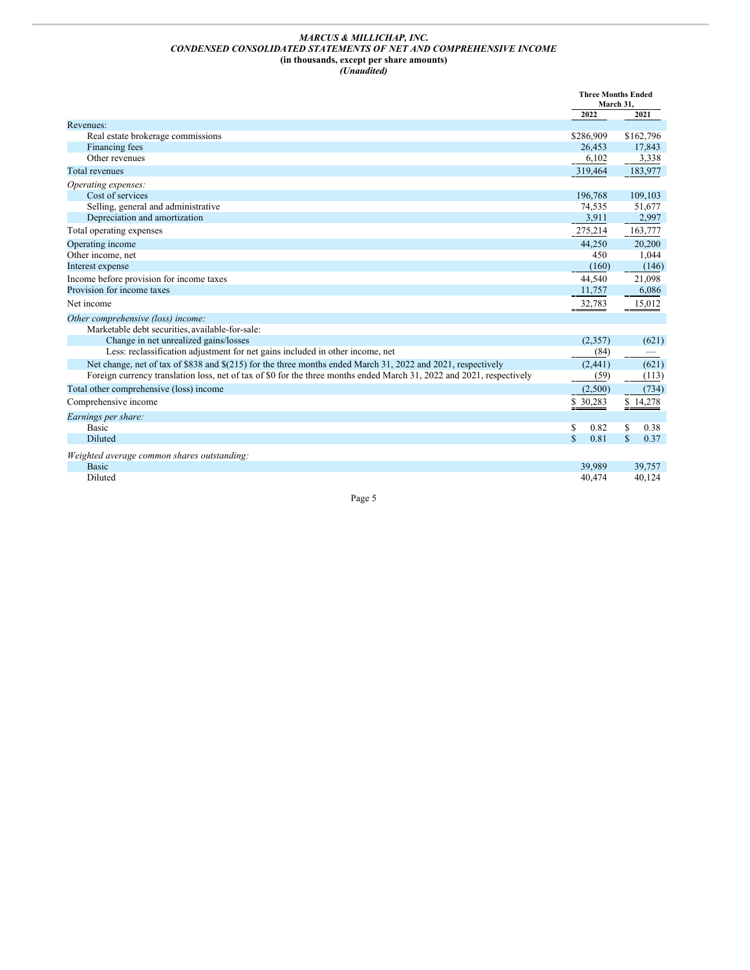#### <span id="page-8-0"></span>*MARCUS & MILLICHAP, INC. CONDENSED CONSOLIDATED STATEMENTS OF NET AND COMPREHENSIVE INCOME* **(in thousands, except per share amounts)** *(Unaudited)*

|                                                                                                                       | <b>Three Months Ended</b><br>March 31, |           |              |           |
|-----------------------------------------------------------------------------------------------------------------------|----------------------------------------|-----------|--------------|-----------|
|                                                                                                                       |                                        | 2022      |              | 2021      |
| Revenues:                                                                                                             |                                        |           |              |           |
| Real estate brokerage commissions                                                                                     |                                        | \$286,909 |              | \$162,796 |
| Financing fees                                                                                                        |                                        | 26,453    |              | 17,843    |
| Other revenues                                                                                                        |                                        | 6,102     |              | 3,338     |
| <b>Total revenues</b>                                                                                                 |                                        | 319,464   |              | 183,977   |
| Operating expenses:                                                                                                   |                                        |           |              |           |
| Cost of services                                                                                                      |                                        | 196,768   |              | 109,103   |
| Selling, general and administrative                                                                                   |                                        | 74,535    |              | 51,677    |
| Depreciation and amortization                                                                                         |                                        | 3.911     |              | 2,997     |
| Total operating expenses                                                                                              |                                        | 275,214   |              | 163,777   |
| Operating income                                                                                                      |                                        | 44,250    |              | 20,200    |
| Other income, net                                                                                                     |                                        | 450       |              | 1,044     |
| Interest expense                                                                                                      |                                        | (160)     |              | (146)     |
| Income before provision for income taxes                                                                              |                                        | 44.540    |              | 21,098    |
| Provision for income taxes                                                                                            |                                        | 11,757    |              | 6,086     |
| Net income                                                                                                            |                                        | 32,783    |              | 15,012    |
| Other comprehensive (loss) income:                                                                                    |                                        |           |              |           |
| Marketable debt securities, available-for-sale:                                                                       |                                        |           |              |           |
| Change in net unrealized gains/losses                                                                                 |                                        | (2,357)   |              | (621)     |
| Less: reclassification adjustment for net gains included in other income, net                                         |                                        | (84)      |              |           |
| Net change, net of tax of \$838 and \$(215) for the three months ended March 31, 2022 and 2021, respectively          |                                        | (2, 441)  |              | (621)     |
| Foreign currency translation loss, net of tax of \$0 for the three months ended March 31, 2022 and 2021, respectively |                                        | (59)      |              | (113)     |
| Total other comprehensive (loss) income                                                                               |                                        | (2,500)   |              | (734)     |
| Comprehensive income                                                                                                  |                                        | \$30,283  |              | \$14,278  |
| Earnings per share:                                                                                                   |                                        |           |              |           |
| <b>Basic</b>                                                                                                          | S                                      | 0.82      | S            | 0.38      |
| Diluted                                                                                                               | $\mathbf{\hat{S}}$                     | 0.81      | $\mathbf{s}$ | 0.37      |
| Weighted average common shares outstanding:                                                                           |                                        |           |              |           |
| <b>Basic</b>                                                                                                          |                                        | 39,989    |              | 39,757    |
| Diluted                                                                                                               |                                        | 40,474    |              | 40,124    |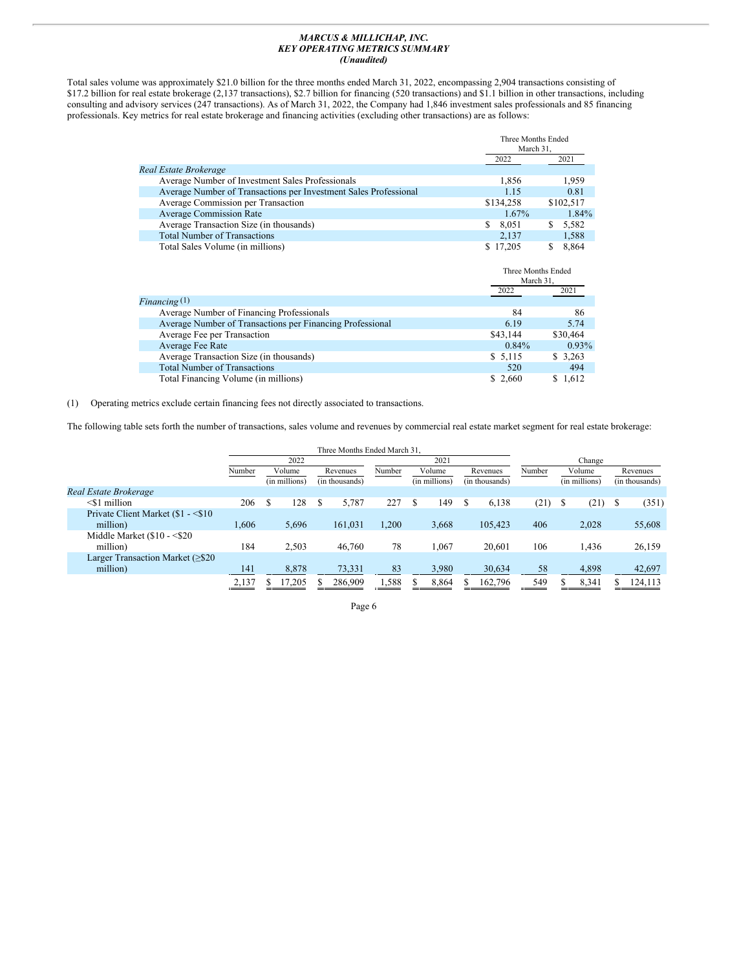#### *MARCUS & MILLICHAP, INC. KEY OPERATING METRICS SUMMARY (Unaudited)*

Total sales volume was approximately \$21.0 billion for the three months ended March 31, 2022, encompassing 2,904 transactions consisting of \$17.2 billion for real estate brokerage (2,137 transactions), \$2.7 billion for financing (520 transactions) and \$1.1 billion in other transactions, including consulting and advisory services (247 transactions). As of March 31, 2022, the Company had 1,846 investment sales professionals and 85 financing professionals. Key metrics for real estate brokerage and financing activities (excluding other transactions) are as follows:

|                                                                  | Three Months Ended<br>March 31. |             |
|------------------------------------------------------------------|---------------------------------|-------------|
|                                                                  | 2022                            | 2021        |
| Real Estate Brokerage                                            |                                 |             |
| Average Number of Investment Sales Professionals                 | 1.856                           | 1.959       |
| Average Number of Transactions per Investment Sales Professional | 1.15                            | 0.81        |
| Average Commission per Transaction                               | \$134,258                       | \$102,517   |
| <b>Average Commission Rate</b>                                   | $1.67\%$                        | 1.84%       |
| Average Transaction Size (in thousands)                          | 8,051<br>\$                     | 5,582<br>S. |
| <b>Total Number of Transactions</b>                              | 2.137                           | 1,588       |
| Total Sales Volume (in millions)                                 | \$17.205                        | 8,864       |

|                                                           | Three Months Ended<br>March 31. |          |
|-----------------------------------------------------------|---------------------------------|----------|
|                                                           | 2022                            | 2021     |
| Financing $(1)$                                           |                                 |          |
| Average Number of Financing Professionals                 | 84                              | 86       |
| Average Number of Transactions per Financing Professional | 6.19                            | 5.74     |
| Average Fee per Transaction                               | \$43,144                        | \$30,464 |
| Average Fee Rate                                          | $0.84\%$                        | $0.93\%$ |
| Average Transaction Size (in thousands)                   | \$5,115                         | \$3,263  |
| <b>Total Number of Transactions</b>                       | 520                             | 494      |
| Total Financing Volume (in millions)                      | \$ 2,660                        | \$1,612  |

(1) Operating metrics exclude certain financing fees not directly associated to transactions.

The following table sets forth the number of transactions, sales volume and revenues by commercial real estate market segment for real estate brokerage:

|                                      |        |               | Three Months Ended March 31. |        |   |               |  |                |        |   |               |  |                |
|--------------------------------------|--------|---------------|------------------------------|--------|---|---------------|--|----------------|--------|---|---------------|--|----------------|
|                                      |        | 2022          |                              | 2021   |   |               |  |                | Change |   |               |  |                |
|                                      | Number | Volume        | Revenues                     | Number |   | Volume        |  | Revenues       | Number |   | Volume        |  | Revenues       |
|                                      |        | (in millions) | (in thousands)               |        |   | (in millions) |  | (in thousands) |        |   | (in millions) |  | (in thousands) |
| Real Estate Brokerage                |        |               |                              |        |   |               |  |                |        |   |               |  |                |
| $\leq$ 1 million                     | 206    | 128           | 5.787                        | 227    | S | 149           |  | 6,138          | (21)   | S | (21)          |  | (351)          |
| Private Client Market (\$1 - < \$10) |        |               |                              |        |   |               |  |                |        |   |               |  |                |
| million)                             | 1.606  | 5,696         | 161,031                      | .200   |   | 3,668         |  | 105.423        | 406    |   | 2.028         |  | 55,608         |
| Middle Market $(\$10 - \$20$         |        |               |                              |        |   |               |  |                |        |   |               |  |                |
| million)                             | 184    | 2,503         | 46,760                       | 78     |   | 1,067         |  | 20.601         | 106    |   | 1,436         |  | 26,159         |
| Larger Transaction Market $(\geq 20$ |        |               |                              |        |   |               |  |                |        |   |               |  |                |
| million)                             | 141    | 8,878         | 73,331                       | 83     |   | 3,980         |  | 30,634         | 58     |   | 4,898         |  | 42,697         |
|                                      | 2,137  | 17,205        | 286,909                      | .588   |   | 8,864         |  | 162,796        | 549    |   | 8,341         |  | 124,113        |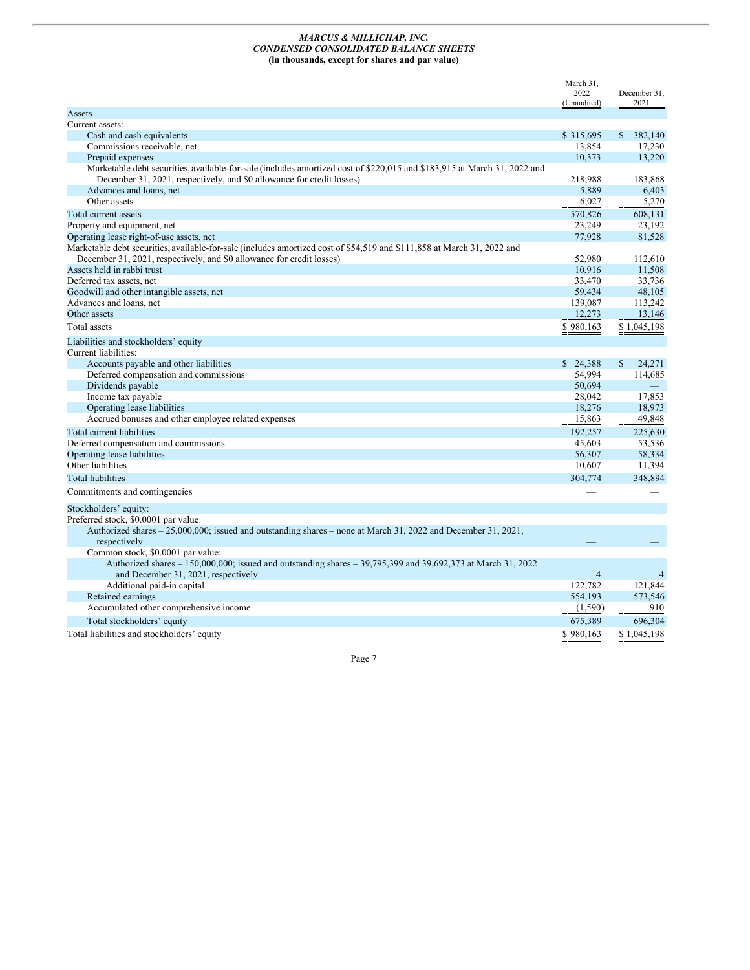#### *MARCUS & MILLICHAP, INC. CONDENSED CONSOLIDATED BALANCE SHEETS* **(in thousands, except for shares and par value)**

|                                                                                                                               | March 31,<br>2022<br>(Unaudited) | December 31,<br>2021 |
|-------------------------------------------------------------------------------------------------------------------------------|----------------------------------|----------------------|
| Assets                                                                                                                        |                                  |                      |
| Current assets:                                                                                                               |                                  |                      |
| Cash and cash equivalents                                                                                                     | \$315,695                        | 382,140<br>S.        |
| Commissions receivable, net                                                                                                   | 13,854                           | 17,230               |
| Prepaid expenses                                                                                                              | 10,373                           | 13,220               |
| Marketable debt securities, available-for-sale (includes amortized cost of \$220,015 and \$183,915 at March 31, 2022 and      |                                  |                      |
| December 31, 2021, respectively, and \$0 allowance for credit losses)                                                         | 218,988                          | 183,868              |
| Advances and loans, net                                                                                                       | 5,889                            | 6,403                |
| Other assets                                                                                                                  | 6,027                            | 5,270                |
| Total current assets                                                                                                          | 570,826                          | 608.131              |
| Property and equipment, net                                                                                                   | 23,249                           | 23,192               |
| Operating lease right-of-use assets, net                                                                                      | 77,928                           | 81,528               |
| Marketable debt securities, available-for-sale (includes amortized cost of \$54,519 and \$111,858 at March 31, 2022 and       |                                  |                      |
| December 31, 2021, respectively, and \$0 allowance for credit losses)                                                         | 52.980                           | 112,610              |
| Assets held in rabbi trust                                                                                                    | 10,916                           | 11,508               |
| Deferred tax assets, net                                                                                                      | 33,470                           | 33,736               |
| Goodwill and other intangible assets, net                                                                                     | 59,434                           | 48,105               |
| Advances and loans, net                                                                                                       | 139,087                          | 113,242              |
| Other assets                                                                                                                  | 12,273                           | 13,146               |
| Total assets                                                                                                                  | \$980,163                        | \$1,045,198          |
| Liabilities and stockholders' equity                                                                                          |                                  |                      |
| Current liabilities:                                                                                                          |                                  |                      |
| Accounts payable and other liabilities                                                                                        | \$24,388                         | 24,271<br>\$         |
| Deferred compensation and commissions                                                                                         | 54,994                           | 114,685              |
| Dividends payable                                                                                                             | 50.694                           |                      |
| Income tax payable                                                                                                            | 28,042                           | 17,853               |
| Operating lease liabilities                                                                                                   | 18,276                           | 18,973               |
| Accrued bonuses and other employee related expenses                                                                           | 15,863                           | 49,848               |
| Total current liabilities                                                                                                     | 192.257                          | 225,630              |
| Deferred compensation and commissions                                                                                         | 45,603                           | 53,536               |
| Operating lease liabilities                                                                                                   | 56,307                           | 58,334               |
| Other liabilities                                                                                                             | 10,607                           | 11,394               |
| <b>Total liabilities</b>                                                                                                      | 304,774                          | 348,894              |
| Commitments and contingencies                                                                                                 |                                  |                      |
| Stockholders' equity:                                                                                                         |                                  |                      |
| Preferred stock, \$0.0001 par value:                                                                                          |                                  |                      |
| Authorized shares - 25,000,000; issued and outstanding shares - none at March 31, 2022 and December 31, 2021,<br>respectively |                                  |                      |
| Common stock, \$0.0001 par value:                                                                                             |                                  |                      |
| Authorized shares - 150,000,000; issued and outstanding shares - 39,795,399 and 39,692,373 at March 31, 2022                  |                                  |                      |
| and December 31, 2021, respectively                                                                                           | $\overline{4}$                   | 4                    |
| Additional paid-in capital                                                                                                    | 122,782                          | 121,844              |
| Retained earnings                                                                                                             | 554,193                          | 573,546              |
| Accumulated other comprehensive income                                                                                        | (1,590)                          | 910                  |
| Total stockholders' equity                                                                                                    | 675,389                          | 696,304              |
| Total liabilities and stockholders' equity                                                                                    | \$980,163                        | \$1,045,198          |
|                                                                                                                               |                                  |                      |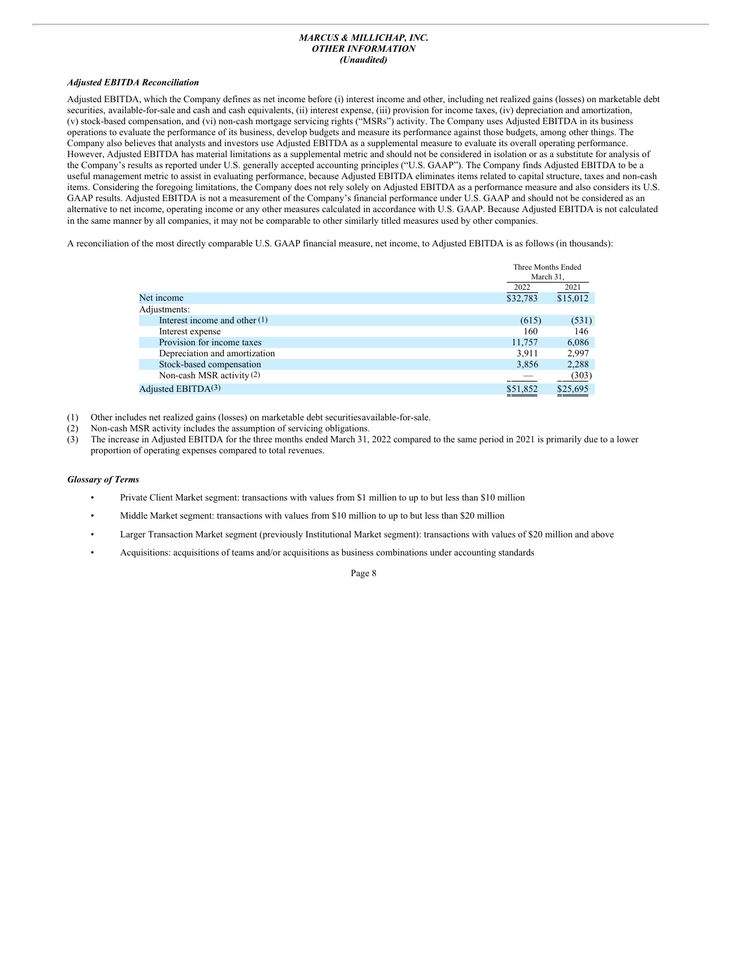#### *MARCUS & MILLICHAP, INC. OTHER INFORMATION (Unaudited)*

#### *Adjusted EBITDA Reconciliation*

Adjusted EBITDA, which the Company defines as net income before (i) interest income and other, including net realized gains (losses) on marketable debt securities, available-for-sale and cash and cash equivalents, (ii) interest expense, (iii) provision for income taxes, (iv) depreciation and amortization, (v) stock-based compensation, and (vi) non-cash mortgage servicing rights ("MSRs") activity. The Company uses Adjusted EBITDA in its business operations to evaluate the performance of its business, develop budgets and measure its performance against those budgets, among other things. The Company also believes that analysts and investors use Adjusted EBITDA as a supplemental measure to evaluate its overall operating performance. However, Adjusted EBITDA has material limitations as a supplemental metric and should not be considered in isolation or as a substitute for analysis of the Company's results as reported under U.S. generally accepted accounting principles ("U.S. GAAP"). The Company finds Adjusted EBITDA to be a useful management metric to assist in evaluating performance, because Adjusted EBITDA eliminates items related to capital structure, taxes and non-cash items. Considering the foregoing limitations, the Company does not rely solely on Adjusted EBITDA as a performance measure and also considers its U.S. GAAP results. Adjusted EBITDA is not a measurement of the Company's financial performance under U.S. GAAP and should not be considered as an alternative to net income, operating income or any other measures calculated in accordance with U.S. GAAP. Because Adjusted EBITDA is not calculated in the same manner by all companies, it may not be comparable to other similarly titled measures used by other companies.

A reconciliation of the most directly comparable U.S. GAAP financial measure, net income, to Adjusted EBITDA is as follows (in thousands):

|                                 | Three Months Ended<br>March 31. |          |
|---------------------------------|---------------------------------|----------|
|                                 | 2022                            | 2021     |
| Net income                      | \$32,783                        | \$15,012 |
| Adjustments:                    |                                 |          |
| Interest income and other $(1)$ | (615)                           | (531)    |
| Interest expense                | 160                             | 146      |
| Provision for income taxes      | 11,757                          | 6,086    |
| Depreciation and amortization   | 3,911                           | 2,997    |
| Stock-based compensation        | 3,856                           | 2,288    |
| Non-cash MSR activity (2)       |                                 | (303)    |
| Adjusted EBITD $A^{(3)}$        | \$51,852                        | \$25,695 |

(1) Other includes net realized gains (losses) on marketable debt securitiesavailable-for-sale.

- (2) Non-cash MSR activity includes the assumption of servicing obligations.
- (3) The increase in Adjusted EBITDA for the three months ended March 31, 2022 compared to the same period in 2021 is primarily due to a lower proportion of operating expenses compared to total revenues.

#### *Glossary of Terms*

- Private Client Market segment: transactions with values from \$1 million to up to but less than \$10 million
- Middle Market segment: transactions with values from \$10 million to up to but less than \$20 million
- Larger Transaction Market segment (previously Institutional Market segment): transactions with values of \$20 million and above
- Acquisitions: acquisitions of teams and/or acquisitions as business combinations under accounting standards